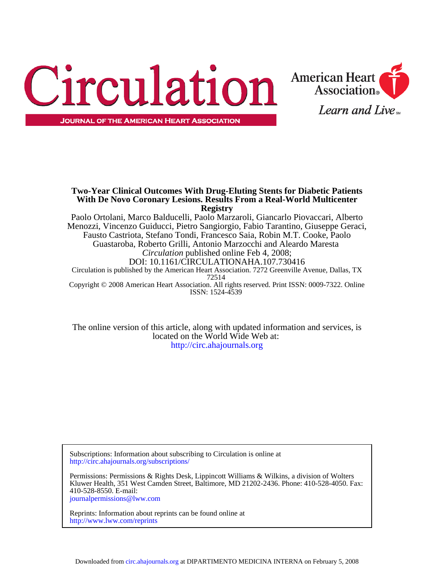



**With De Novo Coronary Lesions. Results From a Real-World Multicenter Two-Year Clinical Outcomes With Drug-Eluting Stents for Diabetic Patients**

ISSN: 1524-4539 Copyright © 2008 American Heart Association. All rights reserved. Print ISSN: 0009-7322. Online 72514 Circulation is published by the American Heart Association. 7272 Greenville Avenue, Dallas, TX DOI: 10.1161/CIRCULATIONAHA.107.730416 *Circulation* published online Feb 4, 2008; Guastaroba, Roberto Grilli, Antonio Marzocchi and Aleardo Maresta Fausto Castriota, Stefano Tondi, Francesco Saia, Robin M.T. Cooke, Paolo Menozzi, Vincenzo Guiducci, Pietro Sangiorgio, Fabio Tarantino, Giuseppe Geraci, Paolo Ortolani, Marco Balducelli, Paolo Marzaroli, Giancarlo Piovaccari, Alberto **Registry**

<http://circ.ahajournals.org> located on the World Wide Web at: The online version of this article, along with updated information and services, is

<http://circ.ahajournals.org/subscriptions/> Subscriptions: Information about subscribing to Circulation is online at

[journalpermissions@lww.com](mailto:journalpermissions@lww.com) 410-528-8550. E-mail: Kluwer Health, 351 West Camden Street, Baltimore, MD 21202-2436. Phone: 410-528-4050. Fax: Permissions: Permissions & Rights Desk, Lippincott Williams & Wilkins, a division of Wolters

<http://www.lww.com/reprints> Reprints: Information about reprints can be found online at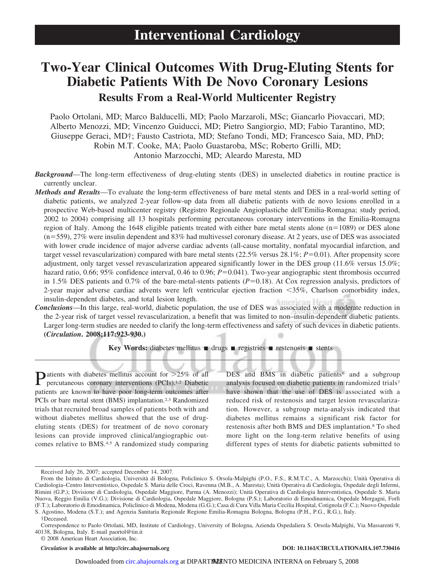# **Two-Year Clinical Outcomes With Drug-Eluting Stents for Diabetic Patients With De Novo Coronary Lesions Results From a Real-World Multicenter Registry**

Paolo Ortolani, MD; Marco Balducelli, MD; Paolo Marzaroli, MSc; Giancarlo Piovaccari, MD; Alberto Menozzi, MD; Vincenzo Guiducci, MD; Pietro Sangiorgio, MD; Fabio Tarantino, MD; Giuseppe Geraci, MD†; Fausto Castriota, MD; Stefano Tondi, MD; Francesco Saia, MD, PhD; Robin M.T. Cooke, MA; Paolo Guastaroba, MSc; Roberto Grilli, MD; Antonio Marzocchi, MD; Aleardo Maresta, MD

- *Background*—The long-term effectiveness of drug-eluting stents (DES) in unselected diabetics in routine practice is currently unclear.
- *Methods and Results*—To evaluate the long-term effectiveness of bare metal stents and DES in a real-world setting of diabetic patients, we analyzed 2-year follow-up data from all diabetic patients with de novo lesions enrolled in a prospective Web-based multicenter registry (Registro Regionale Angioplastiche dell'Emilia-Romagna; study period, 2002 to 2004) comprising all 13 hospitals performing percutaneous coronary interventions in the Emilia-Romagna region of Italy. Among the 1648 eligible patients treated with either bare metal stents alone ( $n=1089$ ) or DES alone  $(n=559)$ , 27% were insulin dependent and 83% had multivessel coronary disease. At 2 years, use of DES was associated with lower crude incidence of major adverse cardiac advents (all-cause mortality, nonfatal myocardial infarction, and target vessel revascularization) compared with bare metal stents  $(22.5\%$  versus  $28.1\%; P=0.01)$ . After propensity score adjustment, only target vessel revascularization appeared significantly lower in the DES group (11.6% versus 15.0%; hazard ratio, 0.66; 95% confidence interval, 0.46 to 0.96;  $P=0.041$ ). Two-year angiographic stent thrombosis occurred in 1.5% DES patients and  $0.7\%$  of the bare-metal-stents patients ( $P=0.18$ ). At Cox regression analysis, predictors of 2-year major adverse cardiac advents were left ventricular ejection fraction -35%, Charlson comorbidity index, insulin-dependent diabetes, and total lesion length.
- *Conclusions*—In this large, real-world, diabetic population, the use of DES was associated with a moderate reduction in the 2-year risk of target vessel revascularization, a benefit that was limited to non–insulin-dependent diabetic patients. Larger long-term studies are needed to clarify the long-term effectiveness and safety of such devices in diabetic patients. **(***Circulation***. 2008;117:923-930.)**

**Key Words:** diabetes mellitus  $\blacksquare$  drugs  $\blacksquare$  registries  $\blacksquare$  restenosis  $\blacksquare$  stents

**P**atients with diabetes mellitus account for >25% of all percutaneous coronary interventions (PCIs).<sup>1,2</sup> Diabetic patients are known to have poor long-term outcomes after PCIs or bare metal stent (BMS) implantation.<sup>2,3</sup> Randomized trials that recruited broad samples of patients both with and without diabetes mellitus showed that the use of drugeluting stents (DES) for treatment of de novo coronary lesions can provide improved clinical/angiographic outcomes relative to BMS.4,5 A randomized study comparing

DES and BMS in diabetic patients<sup>6</sup> and a subgroup analysis focused on diabetic patients in randomized trials7 have shown that the use of DES is associated with a reduced risk of restenosis and target lesion revascularization. However, a subgroup meta-analysis indicated that diabetes mellitus remains a significant risk factor for restenosis after both BMS and DES implantation.8 To shed more light on the long-term relative benefits of using different types of stents for diabetic patients submitted to

Received July 26, 2007; accepted December 14, 2007.

From the Istituto di Cardiologia, Università di Bologna, Policlinico S. Orsola-Malpighi (P.O., F.S., R.M.T.C., A. Marzocchi); Unità Operativa di Cardiologia–Centro Interventistico, Ospedale S. Maria delle Croci, Ravenna (M.B., A. Maresta); Unità Operativa di Cardiologia, Ospedale degli Infermi, Rimini (G.P.); Divisione di Cardiologia, Ospedale Maggiore, Parma (A. Menozzi); Unità Operativa di Cardiologia Interventistica, Ospedale S. Maria Nuova, Reggio Emilia (V.G.); Divisione di Cardiologia, Ospedale Maggiore, Bologna (P.S.); Laboratorio di Emodinamica, Ospedale Morgagni, Forlì (F.T.); Laboratorio di Emodinamica, Policlinico di Modena, Modena (G.G.); Casa di Cura Villa Maria Cecilia Hospital, Cotignola (F.C.); Nuovo Ospedale S. Agostino, Modena (S.T.); and Agenzia Sanitaria Regionale Regione Emilia-Romagna Bologna, Bologna (P.H., P.G., R.G.), Italy.

<sup>†</sup>Deceased.

Correspondence to Paolo Ortolani, MD, Institute of Cardiology, University of Bologna, Azienda Ospedaliera S. Orsola-Malpighi, Via Massarenti 9, 40138, Bologna, Italy. E-mail paortol@tin.it

<sup>© 2008</sup> American Heart Association, Inc.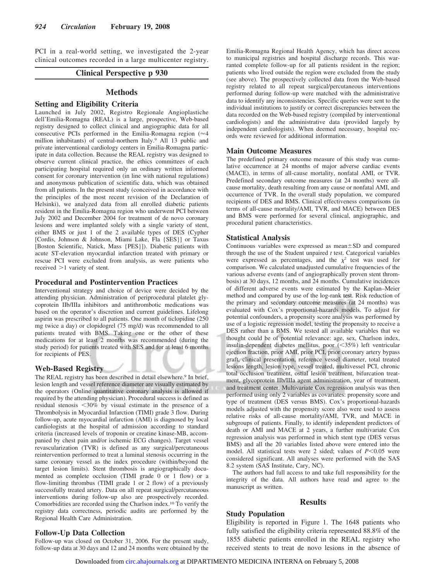PCI in a real-world setting, we investigated the 2-year clinical outcomes recorded in a large multicenter registry.

# **Clinical Perspective p 930**

## **Methods**

## **Setting and Eligibility Criteria**

Launched in July 2002, Registro Regionale Angioplastiche dell'Emilia-Romagna (REAL) is a large, prospective, Web-based registry designed to collect clinical and angiographic data for all consecutive PCIs performed in the Emilia-Romagna region  $($ million inhabitants) of central-northern Italy.9 All 13 public and private interventional cardiology centers in Emilia-Romagna participate in data collection. Because the REAL registry was designed to observe current clinical practice, the ethics committees of each participating hospital required only an ordinary written informed consent for coronary intervention (in line with national regulations) and anonymous publication of scientific data, which was obtained from all patients. In the present study (conceived in accordance with the principles of the most recent revision of the Declaration of Helsinki), we analyzed data from all enrolled diabetic patients resident in the Emilia-Romagna region who underwent PCI between July 2002 and December 2004 for treatment of de novo coronary lesions and were implanted solely with a single variety of stent, either BMS or just 1 of the 2 available types of DES (Cypher [Cordis, Johnson & Johnson, Miami Lake, Fla {SES}] or Taxus [Boston Scientific, Natick, Mass {PES}]). Diabetic patients with acute ST-elevation myocardial infarction treated with primary or rescue PCI were excluded from analysis, as were patients who received  $>1$  variety of stent.

## **Procedural and Postintervention Practices**

Interventional strategy and choice of device were decided by the attending physician. Administration of periprocedural platelet glycoprotein IIb/IIIa inhibitors and antithrombotic medications was based on the operator's discretion and current guidelines. Lifelong aspirin was prescribed to all patients. One month of ticlopidine (250 mg twice a day) or clopidogrel (75 mg/d) was recommended to all patients treated with BMS. Taking one or the other of these medications for at least 2 months was recommended (during the study period) for patients treated with SES and for at least 6 months for recipients of PES.

## **Web-Based Registry**

The REAL registry has been described in detail elsewhere.<sup>9</sup> In brief, lesion length and vessel reference diameter are visually estimated by the operators (Online quantitative coronary analysis is allowed if required by the attending physician). Procedural success is defined as residual stenosis <30% by visual estimate in the presence of a Thrombolysis in Myocardial Infarction (TIMI) grade 3 flow. During follow-up, acute myocardial infarction (AMI) is diagnosed by local cardiologists at the hospital of admission according to standard criteria (increased levels of troponin or creatine kinase-MB, accompanied by chest pain and/or ischemic ECG changes). Target vessel revascularization (TVR) is defined as any surgical/percutaneous reintervention performed to treat a luminal stenosis occurring in the same coronary vessel as the index procedure (within/beyond the target lesion limits). Stent thrombosis is angiographically documented as complete occlusion (TIMI grade 0 or 1 flow) or a flow-limiting thrombus (TIMI grade 1 or 2 flow) of a previously successfully treated artery. Data on all repeat surgical/percutaneous interventions during follow-up also are prospectively recorded. Comorbidities are recorded using the Charlson index.10 To verify the registry data correctness, periodic audits are performed by the Regional Health Care Administration.

# **Follow-Up Data Collection**

Follow-up was closed on October 31, 2006. For the present study, follow-up data at 30 days and 12 and 24 months were obtained by the Emilia-Romagna Regional Health Agency, which has direct access to municipal registries and hospital discharge records. This warranted complete follow-up for all patients resident in the region; patients who lived outside the region were excluded from the study (see above). The prospectively collected data from the Web-based registry related to all repeat surgical/percutaneous interventions performed during follow-up were matched with the administrative data to identify any inconsistencies. Specific queries were sent to the individual institutions to justify or correct discrepancies between the data recorded on the Web-based registry (compiled by interventional cardiologists) and the administrative data (provided largely by independent cardiologists). When deemed necessary, hospital records were reviewed for additional information.

## **Main Outcome Measures**

The predefined primary outcome measure of this study was cumulative occurrence at 24 months of major adverse cardiac events (MACE), in terms of all-cause mortality, nonfatal AMI, or TVR. Predefined secondary outcome measures (at 24 months) were allcause mortality, death resulting from any cause or nonfatal AMI, and occurrence of TVR. In the overall study population, we compared recipients of DES and BMS. Clinical effectiveness comparisons (in terms of all-cause mortality/AMI, TVR, and MACE) between DES and BMS were performed for several clinical, angiographic, and procedural patient characteristics.

## **Statistical Analysis**

Continuous variables were expressed as mean $\pm$ SD and compared through the use of the Student unpaired *t* test. Categorical variables were expressed as percentages, and the  $\chi^2$  test was used for comparison. We calculated unadjusted cumulative frequencies of the various adverse events (and of angiographically proven stent thrombosis) at 30 days, 12 months, and 24 months. Cumulative incidences of different adverse events were estimated by the Kaplan–Meier method and compared by use of the log-rank test. Risk reduction of the primary and secondary outcome measures (at 24 months) was evaluated with Cox's proportional-hazards models. To adjust for potential confounders, a propensity score analysis was performed by use of a logistic regression model, testing the propensity to receive a DES rather than a BMS. We tested all available variables that we thought could be of potential relevance: age, sex, Charlson index, insulin-dependent diabetes mellitus, poor (<35%) left ventricular ejection fraction, prior AMI, prior PCI, prior coronary artery bypass graft, clinical presentation, reference vessel diameter, total treated lesions length, lesion type, vessel treated, multivessel PCI, chronic total occlusion treatment, ostial lesion treatment, bifurcation treatment, glycoprotein IIb/IIIa agent administration, year of treatment, and treatment center. Multivariate Cox regression analysis was then performed using only 2 variables as covariates: propensity score and type of treatment (DES versus BMS). Cox's proportional-hazards models adjusted with the propensity score also were used to assess relative risks of all-cause mortality/AMI, TVR, and MACE in subgroups of patients. Finally, to identify independent predictors of death or AMI and MACE at 2 years, a further multivariate Cox regression analysis was performed in which stent type (DES versus BMS) and all the 20 variables listed above were entered into the model. All statistical tests were 2 sided; values of  $P < 0.05$  were considered significant. All analyses were performed with the SAS 8.2 system (SAS Institute, Cary, NC).

The authors had full access to and take full responsibility for the integrity of the data. All authors have read and agree to the manuscript as written.

## **Results**

## **Study Population**

Eligibility is reported in Figure 1. The 1648 patients who fully satisfied the eligibility criteria represented 88.8% of the 1855 diabetic patients enrolled in the REAL registry who received stents to treat de novo lesions in the absence of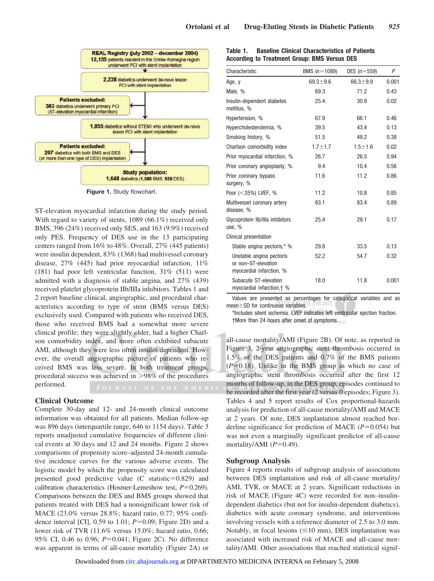

**Figure 1.** Study flowchart.

ST-elevation myocardial infarction during the study period. With regard to variety of stents, 1089 (66.1%) received only BMS, 396 (24%) received only SES, and 163 (9.9%) received only PES. Frequency of DES use in the 13 participating centers ranged from 16% to 48%. Overall, 27% (445 patients) were insulin dependent, 83% (1368) had multivessel coronary disease, 27% (445) had prior myocardial infarction, 11% (181) had poor left ventricular function, 31% (511) were admitted with a diagnosis of stable angina, and 27% (439) received platelet glycoprotein IIb/IIIa inhibitors. Tables 1 and 2 report baseline clinical, angiographic, and procedural characteristics according to type of stent (BMS versus DES) exclusively used. Compared with patients who received DES, those who received BMS had a somewhat more severe clinical profile; they were slightly older, had a higher Charlson comorbidity index, and more often exhibited subacute AMI, although they were less often insulin dependent. However, the overall angiographic picture of patients who received BMS was less severe. In both treatment groups, procedural success was achieved in  $>98\%$  of the procedures performed.

## **Clinical Outcome**

Complete 30-day and 12- and 24-month clinical outcome information was obtained for all patients. Median follow-up was 896 days (interquartile range, 646 to 1154 days). Table 3 reports unadjusted cumulative frequencies of different clinical events at 30 days and 12 and 24 months. Figure 2 shows comparisons of propensity score–adjusted 24-month cumulative incidence curves for the various adverse events. The logistic model by which the propensity score was calculated presented good predictive value  $(C \text{ statistic}=0.829)$  and calibration characteristics (Hosmer-Lemeshow test,  $P=0.269$ ). Comparisons between the DES and BMS groups showed that patients treated with DES had a nonsignificant lower risk of MACE (23.0% versus 28.8%; hazard ratio, 0.77; 95% confidence interval [CI],  $0.59$  to 1.01;  $P=0.09$ ; Figure 2D) and a lower risk of TVR (11.6% versus 15.0%; hazard ratio, 0.66; 95% CI, 0.46 to 0.96; *P*=0.041; Figure 2C). No difference was apparent in terms of all-cause mortality (Figure 2A) or

| Table 1. | <b>Baseline Clinical Characteristics of Patients</b> |
|----------|------------------------------------------------------|
|          | According to Treatment Group: BMS Versus DES         |

| Characteristic                                                              | BMS $(n=1089)$ | DES $(n=559)$  | P     |
|-----------------------------------------------------------------------------|----------------|----------------|-------|
| Age, y                                                                      | $69.3 \pm 9.6$ | $66.3 \pm 9.9$ | 0.001 |
| Male, %                                                                     | 69.3           | 71.2           | 0.43  |
| Insulin-dependent diabetes<br>mellitus. %                                   | 25.4           | 30.9           | 0.02  |
| Hypertension, %                                                             | 67.9           | 66.1           | 0.46  |
| Hypercholesterolemia, %                                                     | 39.5           | 43.4           | 0.13  |
| Smoking history, %                                                          | 51.5           | 49.2           | 0.38  |
| Charlson comorbidity index                                                  | $1.7 \pm 1.7$  | $1.5 + 1.6$    | 0.02  |
| Prior myocardial infarction, %                                              | 26.7           | 26.5           | 0.94  |
| Prior coronary angioplasty, %                                               | 9.4            | 10.4           | 0.56  |
| Prior coronary bypass<br>surgery, %                                         | 11.6           | 11.2           | 0.86  |
| Poor $(<35\%)$ LVEF, %                                                      | 11.2           | 10.8           | 0.85  |
| Multivessel coronary artery<br>disease, %                                   | 83.1           | 83.4           | 0.89  |
| Glycoprotein Ilb/Illa inhibitors<br>use, %                                  | 25.4           | 29.1           | 0.17  |
| Clinical presentation                                                       |                |                |       |
| Stable angina pectoris,* %                                                  | 29.8           | 33.5           | 0.13  |
| Unstable angina pectoris<br>or non-ST-elevation<br>myocardial infarction, % | 52.2           | 54.7           | 0.32  |
| Subacute ST-elevation<br>myocardial infarction, † %                         | 18.0           | 11.8           | 0.001 |

Values are presented as percentages for categorical variables and as mean $\pm$ SD for continuous variables.

\*Includes silent ischemia. LVEF indicates left ventricular ejection fraction. †More than 24 hours after onset of symptoms.

all-cause mortality/AMI (Figure 2B). Of note, as reported in Figure 3, 2-year angiographic stent thrombosis occurred in 1.5% of the DES patients and 0.7% of the BMS patients  $(P=0.18)$ . Unlike in the BMS group in which no case of angiographic stent thrombosis occurred after the first 12 months of follow-up, in the DES group, episodes continued to be recorded after the first year (2 versus 0 episodes; Figure 3). Tables 4 and 5 report results of Cox proportional-hazards analysis for prediction of all-cause mortality/AMI and MACE at 2 years. Of note, DES implantation almost reached borderline significance for prediction of MACE  $(P=0.054)$  but was not even a marginally significant predictor of all-cause mortality/AMI  $(P=0.49)$ .

# **Subgroup Analysis**

Figure 4 reports results of subgroup analysis of associations between DES implantation and risk of all-cause mortality/ AMI, TVR, or MACE at 2 years. Significant reductions in risk of MACE (Figure 4C) were recorded for non–insulindependent diabetics (but not for insulin-dependent diabetics), diabetics with acute coronary syndrome, and interventions involving vessels with a reference diameter of 2.5 to 3.0 mm. Notably, in focal lesions  $(\leq 10 \text{ mm})$ , DES implantation was associated with increased risk of MACE and all-cause mortality/AMI. Other associations that reached statistical signif-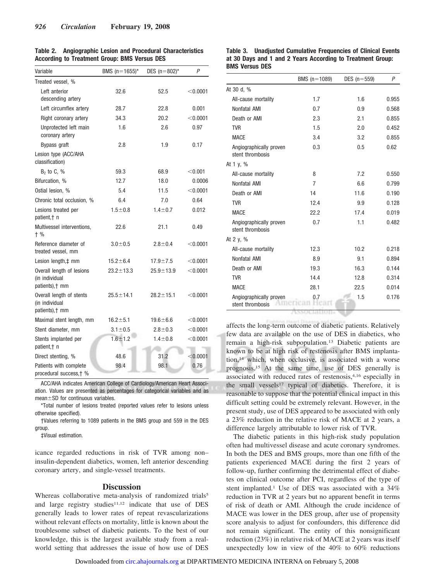| Variable                                                       | BMS $(n = 1655)^*$ | DES $(n=802)^*$ | P          |
|----------------------------------------------------------------|--------------------|-----------------|------------|
| Treated vessel, %                                              |                    |                 |            |
| Left anterior<br>descending artery                             | 32.6               | 52.5            | $<$ 0.0001 |
| Left circumflex artery                                         | 28.7               | 22.8            | 0.001      |
| Right coronary artery                                          | 34.3               | 20.2            | $<$ 0.0001 |
| Unprotected left main<br>coronary artery                       | 1.6                | 2.6             | 0.97       |
| Bypass graft                                                   | 2.8                | 1.9             | 0.17       |
| Lesion type (ACC/AHA<br>classification)                        |                    |                 |            |
| $B2$ to C, %                                                   | 59.3               | 68.9            | < 0.001    |
| Bifurcation, %                                                 | 12.7               | 18.0            | 0.0006     |
| Ostial lesion. %                                               | 5.4                | 11.5            | < 0.0001   |
| Chronic total occlusion, %                                     | 6.4                | 7.0             | 0.64       |
| Lesions treated per<br>patient, + n                            | $1.5 + 0.8$        | $1.4 \pm 0.7$   | 0.012      |
| Multivessel interventions,<br>$+$ %                            | 22.6               | 21.1            | 0.49       |
| Reference diameter of<br>treated vessel, mm                    | $3.0 + 0.5$        | $2.8 \pm 0.4$   | $<$ 0.0001 |
| Lesion length, ‡ mm                                            | $15.2 \pm 6.4$     | $17.9 \pm 7.5$  | $<$ 0.0001 |
| Overall length of lesions<br>(in individual<br>patients), † mm | $23.2 \pm 13.3$    | $25.9 \pm 13.9$ | $<$ 0.0001 |
| Overall length of stents<br>(in individual<br>patients), † mm  | $25.5 \pm 14.1$    | $28.2 \pm 15.1$ | $<$ 0.0001 |
| Maximal stent length, mm                                       | $16.2 + 5.1$       | $19.6 \pm 6.6$  | $<$ 0.0001 |
| Stent diameter, mm                                             | $3.1 \pm 0.5$      | $2.8 + 0.3$     | < 0.0001   |
| Stents implanted per<br>patient, + n                           | $1.6 + 1.2$        | $1.4 \pm 0.8$   | $<$ 0.0001 |
| Direct stenting, %                                             | 48.6               | 31.2            | < 0.0001   |
| Patients with complete<br>procedural success, † %              | 98.4               | 98.1            | 0.76       |

**Table 2. Angiographic Lesion and Procedural Characteristics According to Treatment Group: BMS Versus DES**

ACC/AHA indicates American College of Cardiology/American Heart Association. Values are presented as percentages for categorical variables and as  $mean  $\pm$  SD for continuous variables.$ 

\*Total number of lesions treated (reported values refer to lesions unless otherwise specified).

†Values referring to 1089 patients in the BMS group and 559 in the DES group.

‡Visual estimation.

icance regarded reductions in risk of TVR among non– insulin-dependent diabetics, women, left anterior descending coronary artery, and single-vessel treatments.

## **Discussion**

Whereas collaborative meta-analysis of randomized trials<sup>5</sup> and large registry studies $11,12$  indicate that use of DES generally leads to lower rates of repeat revascularizations without relevant effects on mortality, little is known about the troublesome subset of diabetic patients. To the best of our knowledge, this is the largest available study from a realworld setting that addresses the issue of how use of DES

#### **Table 3. Unadjusted Cumulative Frequencies of Clinical Events at 30 Days and 1 and 2 Years According to Treatment Group: BMS Versus DES**

|                                             | BMS $(n=1089)$ | DES $(n=559)$ | P     |
|---------------------------------------------|----------------|---------------|-------|
| At 30 d, %                                  |                |               |       |
| All-cause mortality                         | 1.7            | 1.6           | 0.955 |
| Nonfatal AMI                                | 0.7            | 0.9           | 0.568 |
| Death or AMI                                | 2.3            | 2.1           | 0.855 |
| <b>TVR</b>                                  | 1.5            | 2.0           | 0.452 |
| <b>MACE</b>                                 | 3.4            | 3.2           | 0.855 |
| Angiographically proven<br>stent thrombosis | 0.3            | 0.5           | 0.62  |
| At 1 $v, %$                                 |                |               |       |
| All-cause mortality                         | 8              | 7.2           | 0.550 |
| Nonfatal AMI                                | $\overline{7}$ | 6.6           | 0.799 |
| Death or AMI                                | 14             | 11.6          | 0.190 |
| <b>TVR</b>                                  | 12.4           | 9.9           | 0.128 |
| <b>MACE</b>                                 | 22.2           | 17.4          | 0.019 |
| Angiographically proven<br>stent thrombosis | 0.7            | 1.1           | 0.482 |
| At 2 $y, \%$                                |                |               |       |
| All-cause mortality                         | 12.3           | 10.2          | 0.218 |
| Nonfatal AMI                                | 8.9            | 9.1           | 0.894 |
| Death or AMI                                | 19.3           | 16.3          | 0.144 |
| <b>TVR</b>                                  | 14.4           | 12.8          | 0.314 |
| <b>MACE</b>                                 | 28.1           | 22.5          | 0.014 |
| Angiographically proven<br>stent thrombosis | 0.7            | 1.5           | 0.176 |

affects the long-term outcome of diabetic patients. Relatively few data are available on the use of DES in diabetics, who remain a high-risk subpopulation.13 Diabetic patients are known to be at high risk of restenosis after BMS implantation,14 which, when occlusive, is associated with a worse prognosis.15 At the same time, use of DES generally is associated with reduced rates of restenosis,4,16 especially in the small vessels<sup>17</sup> typical of diabetics. Therefore, it is reasonable to suppose that the potential clinical impact in this difficult setting could be extremely relevant. However, in the present study, use of DES appeared to be associated with only a 23% reduction in the relative risk of MACE at 2 years, a difference largely attributable to lower risk of TVR.

The diabetic patients in this high-risk study population often had multivessel disease and acute coronary syndromes. In both the DES and BMS groups, more than one fifth of the patients experienced MACE during the first 2 years of follow-up, further confirming the detrimental effect of diabetes on clinical outcome after PCI, regardless of the type of stent implanted.1 Use of DES was associated with a 34% reduction in TVR at 2 years but no apparent benefit in terms of risk of death or AMI. Although the crude incidence of MACE was lower in the DES group, after use of propensity score analysis to adjust for confounders, this difference did not remain significant. The entity of this nonsignificant reduction (23%) in relative risk of MACE at 2 years was itself unexpectedly low in view of the 40% to 60% reductions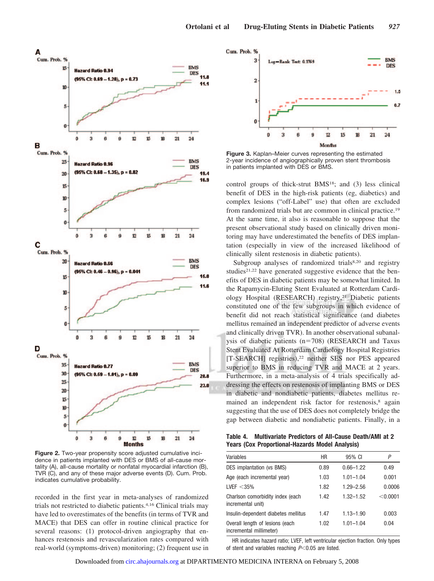

**Figure 2.** Two-year propensity score adjusted cumulative incidence in patients implanted with DES or BMS of all-cause mortality (A), all-cause mortality or nonfatal myocardial infarction (B), TVR (C), and any of these major adverse events (D). Cum. Prob. indicates cumulative probability.

recorded in the first year in meta-analyses of randomized trials not restricted to diabetic patients.4,16 Clinical trials may have led to overestimates of the benefits (in terms of TVR and MACE) that DES can offer in routine clinical practice for several reasons: (1) protocol-driven angiography that enhances restenosis and revascularization rates compared with real-world (symptoms-driven) monitoring; (2) frequent use in



**Figure 3.** Kaplan–Meier curves representing the estimated 2-year incidence of angiographically proven stent thrombosis in patients implanted with DES or BMS.

control groups of thick-strut BMS18; and (3) less clinical benefit of DES in the high-risk patients (eg, diabetics) and complex lesions ("off-Label" use) that often are excluded from randomized trials but are common in clinical practice.19 At the same time, it also is reasonable to suppose that the present observational study based on clinically driven monitoring may have underestimated the benefits of DES implantation (especially in view of the increased likelihood of clinically silent restenosis in diabetic patients).

Subgroup analyses of randomized trials8,20 and registry studies<sup>21,22</sup> have generated suggestive evidence that the benefits of DES in diabetic patients may be somewhat limited. In the Rapamycin-Eluting Stent Evaluated at Rotterdam Cardiology Hospital (RESEARCH) registry,<sup>21</sup> Diabetic patients constituted one of the few subgroups in which evidence of benefit did not reach statistical significance (and diabetes mellitus remained an independent predictor of adverse events and clinically driven TVR). In another observational subanalysis of diabetic patients  $(n=708)$  (RESEARCH and Taxus Stent Evaluated At Rotterdam Cardiology Hospital Registries [T-SEARCH] registries),<sup>22</sup> neither SES nor PES appeared superior to BMS in reducing TVR and MACE at 2 years. Furthermore, in a meta-analysis of 4 trials specifically addressing the effects on restenosis of implanting BMS or DES in diabetic and nondiabetic patients, diabetes mellitus remained an independent risk factor for restenosis,<sup>8</sup> again suggesting that the use of DES does not completely bridge the gap between diabetic and nondiabetic patients. Finally, in a

**Table 4. Multivariate Predictors of All-Cause Death/AMI at 2 Years (Cox Proportional-Hazards Model Analysis)**

| Variables                                                  | HR   | 95% CI        | Ρ        |
|------------------------------------------------------------|------|---------------|----------|
| DES implantation (vs BMS)                                  | 0.89 | $0.66 - 1.22$ | 0.49     |
| Age (each incremental year)                                | 1.03 | $1.01 - 1.04$ | 0.001    |
| LVEF $<$ 35%                                               | 1.82 | $1.29 - 2.56$ | 0.0006   |
| Charlson comorbidity index (each<br>incremental unit)      | 1.42 | $1.32 - 1.52$ | < 0.0001 |
| Insulin-dependent diabetes mellitus                        | 1.47 | $1.13 - 1.90$ | 0.003    |
| Overall length of lesions (each<br>incremental millimeter) | 1.02 | $1.01 - 1.04$ | 0.04     |

HR indicates hazard ratio; LVEF, left ventricular ejection fraction. Only types of stent and variables reaching  $P<0.05$  are listed.

Downloaded from [circ.ahajournals.org](http://circ.ahajournals.org) at DIPARTIMENTO MEDICINA INTERNA on February 5, 2008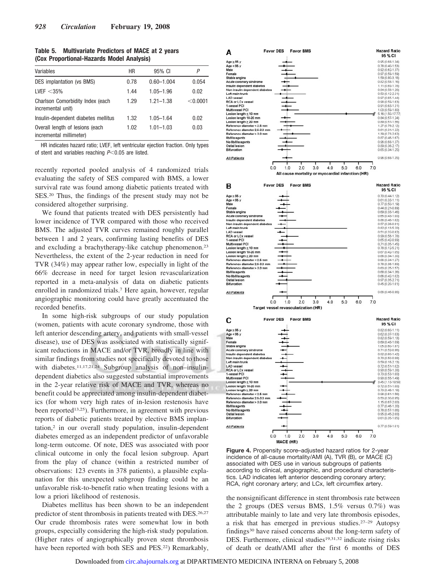| Table 5. | <b>Multivariate Predictors of MACE at 2 years</b> |  |
|----------|---------------------------------------------------|--|
|          | (Cox Proportional-Hazards Model Analysis)         |  |

| Variables                                                  | HR   | 95% CI         | P        |
|------------------------------------------------------------|------|----------------|----------|
| DES implantation (vs BMS)                                  | 0.78 | $0.60 - 1.004$ | 0.054    |
| LVEF $<$ 35%                                               | 1.44 | $1.05 - 1.96$  | 0.02     |
| Charlson Comorbidity Index (each<br>incremental unit)      | 1.29 | $1.21 - 1.38$  | < 0.0001 |
| Insulin-dependent diabetes mellitus                        | 1.32 | $1.05 - 1.64$  | 0.02     |
| Overall length of lesions (each<br>incremental millimeter) | 1.02 | $1.01 - 1.03$  | 0.03     |

HR indicates hazard ratio; LVEF, left ventricular ejection fraction. Only types of stent and variables reaching *P*-0.05 are listed.

recently reported pooled analysis of 4 randomized trials evaluating the safety of SES compared with BMS, a lower survival rate was found among diabetic patients treated with SES.20 Thus, the findings of the present study may not be considered altogether surprising.

We found that patients treated with DES persistently had lower incidence of TVR compared with those who received BMS. The adjusted TVR curves remained roughly parallel between 1 and 2 years, confirming lasting benefits of DES and excluding a brachytherapy-like catchup phenomenon.23 Nevertheless, the extent of the 2-year reduction in need for TVR (34%) may appear rather low, especially in light of the 66% decrease in need for target lesion revascularization reported in a meta-analysis of data on diabetic patients enrolled in randomized trials.7 Here again, however, regular angiographic monitoring could have greatly accentuated the recorded benefits.

In some high-risk subgroups of our study population (women, patients with acute coronary syndrome, those with left anterior descending artery, and patients with small-vessel disease), use of DES was associated with statistically significant reductions in MACE and/or TVR, broadly in line with similar findings from studies not specifically devoted to those with diabetes.<sup>11,17,21,24</sup> Subgroup analysis of non-insulindependent diabetics also suggested substantial improvements in the 2-year relative risk of MACE and TVR, whereas no benefit could be appreciated among insulin-dependent diabetics (for whom very high rates of in-lesion restenosis have been reported<sup>13,25</sup>). Furthermore, in agreement with previous reports of diabetic patients treated by elective BMS implantation,2 in our overall study population, insulin-dependent diabetes emerged as an independent predictor of unfavorable long-term outcome. Of note, DES was associated with poor clinical outcome in only the focal lesion subgroup. Apart from the play of chance (within a restricted number of observations: 123 events in 378 patients), a plausible explanation for this unexpected subgroup finding could be an unfavorable risk-to-benefit ratio when treating lesions with a low a priori likelihood of restenosis.

Diabetes mellitus has been shown to be an independent predictor of stent thrombosis in patients treated with DES.<sup>26,27</sup> Our crude thrombosis rates were somewhat low in both groups, especially considering the high-risk study population. (Higher rates of angiographically proven stent thrombosis have been reported with both SES and PES.<sup>22</sup>) Remarkably,



**Figure 4.** Propensity score–adjusted hazard ratios for 2-year incidence of all-cause mortality/AMI (A), TVR (B), or MACE (C) associated with DES use in various subgroups of patients according to clinical, angiographic, and procedural characteristics. LAD indicates left anterior descending coronary artery; RCA, right coronary artery; and LCx, left circumflex artery.

the nonsignificant difference in stent thrombosis rate between the 2 groups (DES versus BMS, 1.5% versus 0.7%) was attributable mainly to late and very late thrombosis episodes, a risk that has emerged in previous studies.27–29 Autopsy findings30 have raised concerns about the long-term safety of DES. Furthermore, clinical studies<sup>19,31,32</sup> indicate rising risks of death or death/AMI after the first 6 months of DES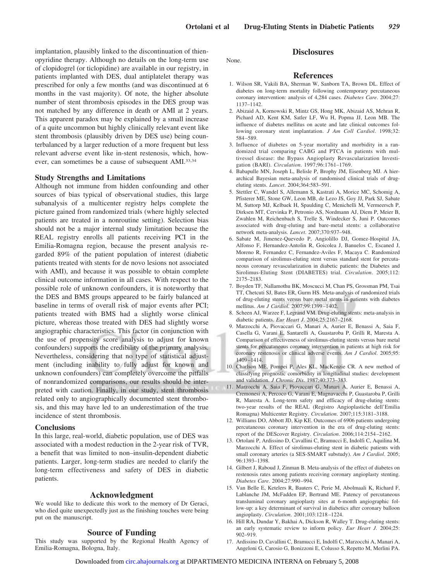implantation, plausibly linked to the discontinuation of thienopyridine therapy. Although no details on the long-term use of clopidogrel (or ticlopidine) are available in our registry, in patients implanted with DES, dual antiplatelet therapy was prescribed for only a few months (and was discontinued at 6 months in the vast majority). Of note, the higher absolute number of stent thrombosis episodes in the DES group was not matched by any difference in death or AMI at 2 years. This apparent paradox may be explained by a small increase of a quite uncommon but highly clinically relevant event like stent thrombosis (plausibly driven by DES use) being counterbalanced by a larger reduction of a more frequent but less relevant adverse event like in-stent restenosis, which, however, can sometimes be a cause of subsequent AMI.33,34

## **Study Strengths and Limitations**

Although not immune from hidden confounding and other sources of bias typical of observational studies, this large subanalysis of a multicenter registry helps complete the picture gained from randomized trials (where highly selected patients are treated in a nonroutine setting). Selection bias should not be a major internal study limitation because the REAL registry enrolls all patients receiving PCI in the Emilia-Romagna region, because the present analysis regarded 89% of the patient population of interest (diabetic patients treated with stents for de novo lesions not associated with AMI), and because it was possible to obtain complete clinical outcome information in all cases. With respect to the possible role of unknown confounders, it is noteworthy that the DES and BMS groups appeared to be fairly balanced at baseline in terms of overall risk of major events after PCI; patients treated with BMS had a slightly worse clinical picture, whereas those treated with DES had slightly worse angiographic characteristics. This factor (in conjunction with the use of propensity score analysis to adjust for known confounders) supports the credibility of the primary analysis. Nevertheless, considering that no type of statistical adjustment (including inability to fully adjust for known and unknown confounders) can completely overcome the pitfalls of nonrandomized comparisons, our results should be interpreted with caution. Finally, in our study, stent thrombosis related only to angiographically documented stent thrombosis, and this may have led to an underestimation of the true incidence of stent thrombosis.

## **Conclusions**

In this large, real-world, diabetic population, use of DES was associated with a modest reduction in the 2-year risk of TVR, a benefit that was limited to non–insulin-dependent diabetic patients. Larger, long-term studies are needed to clarify the long-term effectiveness and safety of DES in diabetic patients.

# **Acknowledgment**

We would like to dedicate this work to the memory of Dr Geraci, who died quite unexpectedly just as the finishing touches were being put on the manuscript.

# **Source of Funding**

This study was supported by the Regional Health Agency of Emilia-Romagna, Bologna, Italy.

## None.

#### **References**

**Disclosures**

- 1. Wilson SR, Vakili BA, Sherman W, Sanborn TA, Brown DL. Effect of diabetes on long-term mortality following contemporary percutaneous coronary intervention: analysis of 4,284 cases. *Diabetes Care*. 2004;27: 1137–1142.
- 2. Abizaid A, Kornowski R, Mintz GS, Hong MK, Abizaid AS, Mehran R, Pichard AD, Kent KM, Satler LF, Wu H, Popma JJ, Leon MB. The influence of diabetes mellitus on acute and late clinical outcomes following coronary stent implantation. *J Am Coll Cardiol*. 1998;32: 584 –589.
- 3. Influence of diabetes on 5-year mortality and morbidity in a randomized trial comparing CABG and PTCA in patients with multivessel disease: the Bypass Angioplasty Revascularization Investigation (BARI). *Circulation*. 1997;96:1761–1769.
- 4. Babapulle MN, Joseph L, Belisle P, Brophy JM, Eisenberg MJ. A hierarchical Bayesian meta-analysis of randomised clinical trials of drugeluting stents. *Lancet*. 2004;364:583–591.
- 5. Stettler C, Wandel S, Allemann S, Kastrati A, Morice MC, Schomig A, Pfisterer ME, Stone GW, Leon MB, de Lezo JS, Goy JJ, Park SJ, Sabate M, Suttorp MJ, Kelbaek H, Spaulding C, Menichelli M, Vermeersch P, Dirksen MT, Cervinka P, Petronio AS, Nordmann AJ, Diem P, Meier B, Zwahlen M, Reichenbach S, Trelle S, Windecker S, Juni P. Outcomes associated with drug-eluting and bare-metal stents: a collaborative network meta-analysis. *Lancet*. 2007;370:937–948.
- 6. Sabate M, Jimenez-Quevedo P, Angiolillo DJ, Gomez-Hospital JA, Alfonso F, Hernandez-Antolin R, Goicolea J, Banuelos C, Escaned J, Moreno R, Fernandez C, Fernandez-Aviles F, Macaya C. Randomized comparison of sirolimus-eluting stent versus standard stent for percutaneous coronary revascularization in diabetic patients: the Diabetes and Sirolimus-Eluting Stent (DIABETES) trial. *Circulation*. 2005;112: 2175–2183.
- 7. Boyden TF, Nallamothu BK, Moscucci M, Chan PS, Grossman PM, Tsai TT, Chetcuti SJ, Bates ER, Gurm HS. Meta-analysis of randomized trials of drug-eluting stents versus bare metal stents in patients with diabetes mellitus. *Am J Cardiol*. 2007;99:1399 –1402.
- 8. Scheen AJ, Warzee F, Legrand VM. Drug-eluting stents: meta-analysis in diabetic patients. *Eur Heart J*. 2004;25:2167–2168.
- 9. Marzocchi A, Piovaccari G, Manari A, Aurier E, Benassi A, Saia F, Casella G, Varani E, Santarelli A, Guastaroba P, Grilli R, Maresta A. Comparison of effectiveness of sirolimus-eluting stents versus bare metal stents for percutaneous coronary intervention in patients at high risk for coronary restenosis or clinical adverse events. *Am J Cardiol*. 2005;95: 1409 –1414.
- 10. Charlson ME, Pompei P, Ales KL, MacKenzie CR. A new method of classifying prognostic comorbidity in longitudinal studies: development and validation. *J Chronic Dis*. 1987;40:373–383.
- 11. Marzocchi A, Saia F, Piovaccari G, Manari A, Aurier E, Benassi A, Cremonesi A, Percoco G, Varani E, Magnavacchi P, Guastaroba P, Grilli R, Maresta A. Long-term safety and efficacy of drug-eluting stents: two-year results of the REAL (Registro Angioplastiche dell'Emilia Romagna) Multicenter Registry. *Circulation*. 2007;115:3181–3188.
- 12. Williams DO, Abbott JD, Kip KE. Outcomes of 6906 patients undergoing percutaneous coronary intervention in the era of drug-eluting stents: report of the DEScover Registry. *Circulation*. 2006;114:2154 –2162.
- 13. Ortolani P, Ardissino D, Cavallini C, Bramucci E, Indolfi C, Aquilina M, Marzocchi A. Effect of sirolimus-eluting stent in diabetic patients with small coronary arteries (a SES-SMART substudy). *Am J Cardiol*. 2005; 96:1393–1398.
- 14. Gilbert J, Raboud J, Zinman B. Meta-analysis of the effect of diabetes on restenosis rates among patients receiving coronary angioplasty stenting. *Diabetes Care*. 2004;27:990 –994.
- 15. Van Belle E, Ketelers R, Bauters C, Perie M, Abolmaali K, Richard F, Lablanche JM, McFadden EP, Bertrand ME. Patency of percutaneous transluminal coronary angioplasty sites at 6-month angiographic follow-up: a key determinant of survival in diabetics after coronary balloon angioplasty. *Circulation*. 2001;103:1218 –1224.
- 16. Hill RA, Dundar Y, Bakhai A, Dickson R, Walley T. Drug-eluting stents: an early systematic review to inform policy. *Eur Heart J*. 2004;25: 902–919.
- 17. Ardissino D, Cavallini C, Bramucci E, Indolfi C, Marzocchi A, Manari A, Angeloni G, Carosio G, Bonizzoni E, Colusso S, Repetto M, Merlini PA.